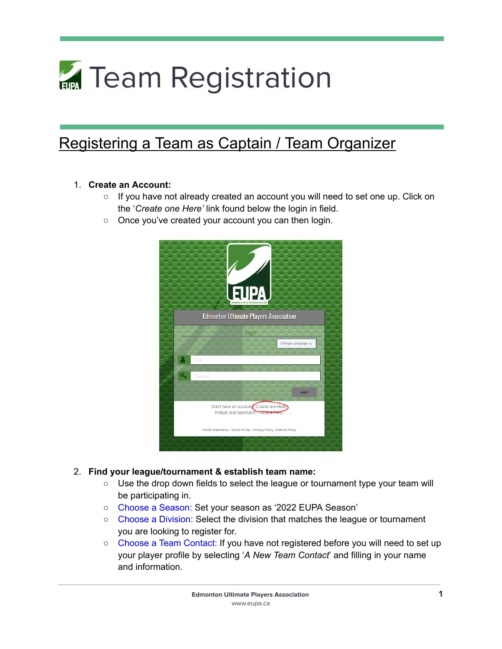# **Team Registration**

# Registering a Team as Captain / Team Organizer

#### 1. **Create an Account:**

- $\circ$  If you have not already created an account you will need to set one up. Click on the '*Create one Here'* link found below the login in field.
- Once you've created your account you can then login.



#### 2. **Find your league/tournament & establish team name:**

- $\circ$  Use the drop down fields to select the league or tournament type your team will be participating in.
- Choose a Season: Set your season as '2022 EUPA Season'
- Choose a Division: Select the division that matches the league or tournament you are looking to register for.
- Choose a Team Contact: If you have not registered before you will need to set up your player profile by selecting '*A New Team Contact*' and filling in your name and information.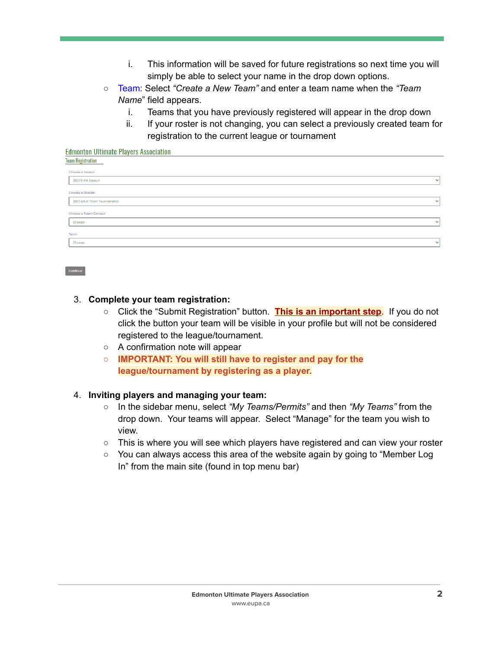- i. This information will be saved for future registrations so next time you will simply be able to select your name in the drop down options.
- Team: Select *"Create a New Team"* and enter a team name when the *"Team Name*" field appears.
	- i. Teams that you have previously registered will appear in the drop down
	- ii. If your roster is not changing, you can select a previously created team for registration to the current league or tournament

### **Edmonton Ultimate Plavers Association Team Registration Choose a Season** 2022 EUPA Season Choose a Division 2022 Adult Team Tournaments Choose a Team Contact Choose

#### 3. **Complete your team registration:**

Continue

- Click the "Submit Registration" button. **This is an important step**. If you do not click the button your team will be visible in your profile but will not be considered registered to the league/tournament.
- A confirmation note will appear
- **○ IMPORTANT: You will still have to register and pay for the league/tournament by registering as a player.**

#### 4. **Inviting players and managing your team:**

- In the sidebar menu, select *"My Teams/Permits"* and then *"My Teams"* from the drop down. Your teams will appear. Select "Manage" for the team you wish to view.
- $\circ$  This is where you will see which players have registered and can view your roster
- You can always access this area of the website again by going to "Member Log In" from the main site (found in top menu bar)

 $\downarrow$ 

 $\ddotmark$ 

 $\ddotmark$ 

◡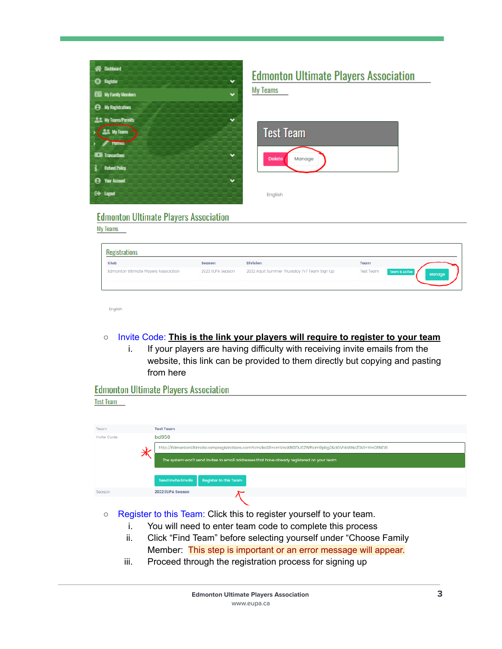

## **Edmonton Ultimate Players Association**

**My Teams** 

| <b>Test Team</b>        |  |  |
|-------------------------|--|--|
| <b>Delete</b><br>Manage |  |  |
| English                 |  |  |

#### **Edmonton Ultimate Players Association**

**My Teams** 

| tegistrations                         |                  |                                             |                  |                          |
|---------------------------------------|------------------|---------------------------------------------|------------------|--------------------------|
| Club                                  | Season           | <b>Division</b>                             | Team             |                          |
| Edmonton Ultimate Players Association | 2022 EUPA Season | 2022 Adult Summer Thursday 7v7 Team Sign Up | <b>Test Team</b> | Team is Active<br>Manage |
|                                       |                  |                                             |                  |                          |

English

#### ○ Invite Code: **This is the link your players will require to register to your team**

i. If your players are having difficulty with receiving invite emails from the website, this link can be provided to them directly but copying and pasting from here

**Edmonton Ultimate Players Association** 

**Test Team** 

| Team        | <b>Test Team</b>                                                                                     |  |  |  |
|-------------|------------------------------------------------------------------------------------------------------|--|--|--|
| Invite Code | <b>bd950</b>                                                                                         |  |  |  |
|             | http://EdmontonUltimate.rampregistrations.com?cmVkaXII=cmVnaXN0ZXJ0ZWFtam9pbg2&dGVhbWNvZGU1=YmQ5NTA1 |  |  |  |
|             | The system won't send invites to email addresses that have already registered on your team           |  |  |  |
|             | <b>Send Invite Emails</b><br>Register to this Team                                                   |  |  |  |
| Season      | 2022 EUPA Season                                                                                     |  |  |  |
|             |                                                                                                      |  |  |  |

- Register to this Team: Click this to register yourself to your team.
	- i. You will need to enter team code to complete this process
	- ii. Click "Find Team" before selecting yourself under "Choose Family Member: This step is important or an error message will appear.
	- iii. Proceed through the registration process for signing up